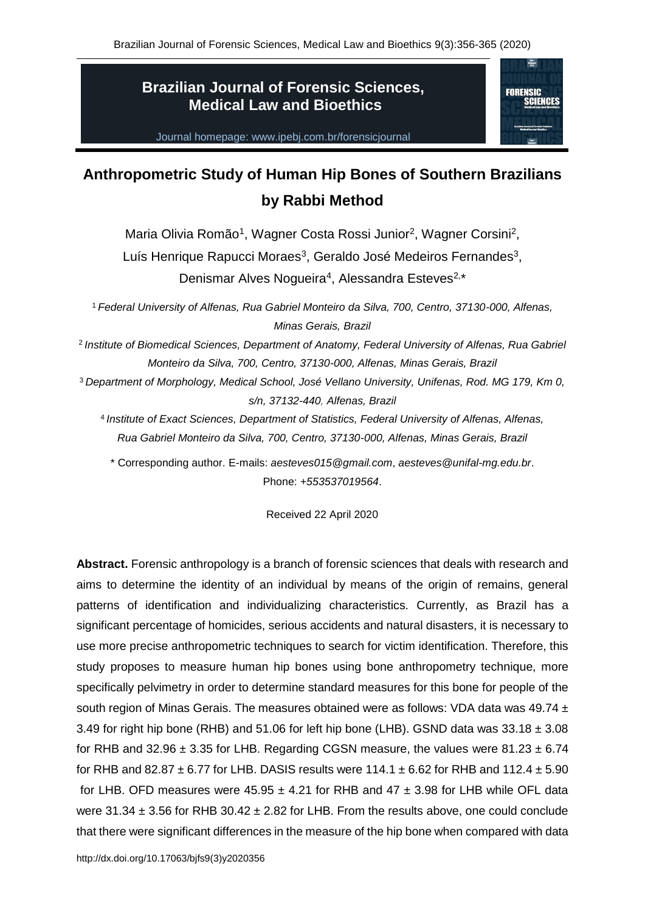## **Brazilian Journal of Forensic Sciences, Medical Law and Bioethics**



Journal homepage: www.ipebj.com.br/forensicjournal

# **Anthropometric Study of Human Hip Bones of Southern Brazilians by Rabbi Method**

Maria Olivia Romão<sup>1</sup>, Wagner Costa Rossi Junior<sup>2</sup>, Wagner Corsini<sup>2</sup>, Luís Henrique Rapucci Moraes<sup>3</sup>, Geraldo José Medeiros Fernandes<sup>3</sup>, Denismar Alves Nogueira<sup>4</sup>, Alessandra Esteves<sup>2,\*</sup>

<sup>1</sup> *Federal University of Alfenas, Rua Gabriel Monteiro da Silva, 700, Centro, 37130-000, Alfenas, Minas Gerais, Brazil*

2 *Institute of Biomedical Sciences, Department of Anatomy, Federal University of Alfenas, Rua Gabriel Monteiro da Silva, 700, Centro, 37130-000, Alfenas, Minas Gerais, Brazil*

<sup>3</sup> *Department of Morphology, Medical School, José Vellano University, Unifenas, Rod. MG 179, Km 0, s/n, 37132-440, Alfenas, Brazil*

4 *Institute of Exact Sciences, Department of Statistics, Federal University of Alfenas, Alfenas, Rua Gabriel Monteiro da Silva, 700, Centro, 37130-000, Alfenas, Minas Gerais, Brazil*

\* Corresponding author. E-mails: *aesteves015@gmail.com*, *aesteves@unifal-mg.edu.br*. Phone: *+553537019564*.

Received 22 April 2020

**Abstract.** Forensic anthropology is a branch of forensic sciences that deals with research and aims to determine the identity of an individual by means of the origin of remains, general patterns of identification and individualizing characteristics. Currently, as Brazil has a significant percentage of homicides, serious accidents and natural disasters, it is necessary to use more precise anthropometric techniques to search for victim identification. Therefore, this study proposes to measure human hip bones using bone anthropometry technique, more specifically pelvimetry in order to determine standard measures for this bone for people of the south region of Minas Gerais. The measures obtained were as follows: VDA data was 49.74  $\pm$ 3.49 for right hip bone (RHB) and 51.06 for left hip bone (LHB). GSND data was  $33.18 \pm 3.08$ for RHB and  $32.96 \pm 3.35$  for LHB. Regarding CGSN measure, the values were  $81.23 \pm 6.74$ for RHB and 82.87  $\pm$  6.77 for LHB. DASIS results were 114.1  $\pm$  6.62 for RHB and 112.4  $\pm$  5.90 for LHB. OFD measures were  $45.95 \pm 4.21$  for RHB and  $47 \pm 3.98$  for LHB while OFL data were  $31.34 \pm 3.56$  for RHB  $30.42 \pm 2.82$  for LHB. From the results above, one could conclude that there were significant differences in the measure of the hip bone when compared with data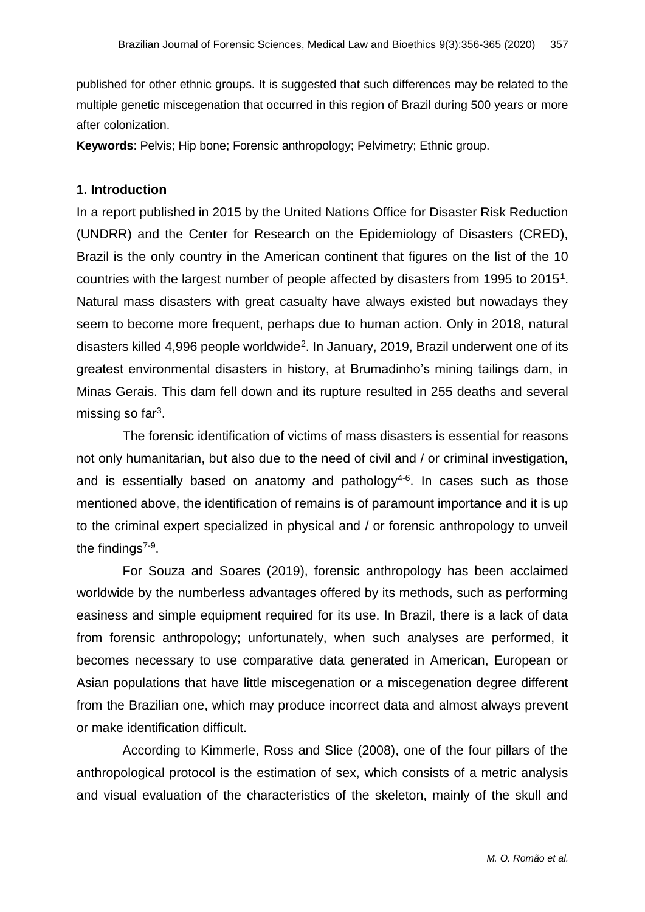published for other ethnic groups. It is suggested that such differences may be related to the multiple genetic miscegenation that occurred in this region of Brazil during 500 years or more after colonization.

**Keywords**: Pelvis; Hip bone; Forensic anthropology; Pelvimetry; Ethnic group.

#### **1. Introduction**

In a report published in 2015 by the United Nations Office for Disaster Risk Reduction (UNDRR) and the Center for Research on the Epidemiology of Disasters (CRED), Brazil is the only country in the American continent that figures on the list of the 10 countries with the largest number of people affected by disasters from 1995 to 2015<sup>1</sup>. Natural mass disasters with great casualty have always existed but nowadays they seem to become more frequent, perhaps due to human action. Only in 2018, natural disasters killed 4,996 people worldwide<sup>2</sup>. In January, 2019, Brazil underwent one of its greatest environmental disasters in history, at Brumadinho's mining tailings dam, in Minas Gerais. This dam fell down and its rupture resulted in 255 deaths and several missing so far $^3$ .

The forensic identification of victims of mass disasters is essential for reasons not only humanitarian, but also due to the need of civil and / or criminal investigation, and is essentially based on anatomy and pathology $4-6$ . In cases such as those mentioned above, the identification of remains is of paramount importance and it is up to the criminal expert specialized in physical and / or forensic anthropology to unveil the findings<sup>7-9</sup>.

For Souza and Soares (2019), forensic anthropology has been acclaimed worldwide by the numberless advantages offered by its methods, such as performing easiness and simple equipment required for its use. In Brazil, there is a lack of data from forensic anthropology; unfortunately, when such analyses are performed, it becomes necessary to use comparative data generated in American, European or Asian populations that have little miscegenation or a miscegenation degree different from the Brazilian one, which may produce incorrect data and almost always prevent or make identification difficult.

According to Kimmerle, Ross and Slice (2008), one of the four pillars of the anthropological protocol is the estimation of sex, which consists of a metric analysis and visual evaluation of the characteristics of the skeleton, mainly of the skull and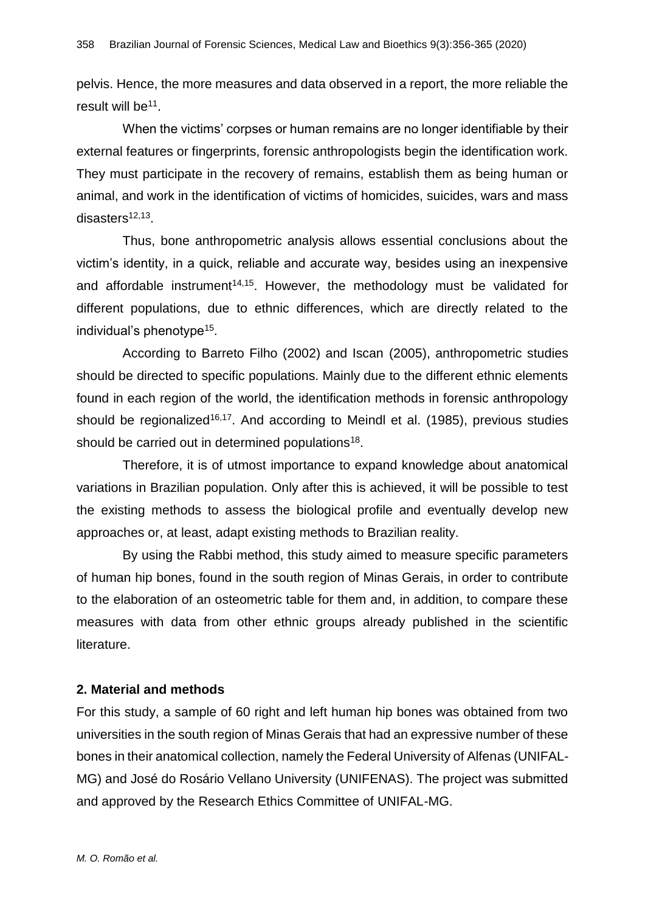pelvis. Hence, the more measures and data observed in a report, the more reliable the result will be<sup>11</sup>.

When the victims' corpses or human remains are no longer identifiable by their external features or fingerprints, forensic anthropologists begin the identification work. They must participate in the recovery of remains, establish them as being human or animal, and work in the identification of victims of homicides, suicides, wars and mass disasters<sup>12,13</sup>.

Thus, bone anthropometric analysis allows essential conclusions about the victim's identity, in a quick, reliable and accurate way, besides using an inexpensive and affordable instrument<sup>14,15</sup>. However, the methodology must be validated for different populations, due to ethnic differences, which are directly related to the individual's phenotype<sup>15</sup>.

According to Barreto Filho (2002) and Iscan (2005), anthropometric studies should be directed to specific populations. Mainly due to the different ethnic elements found in each region of the world, the identification methods in forensic anthropology should be regionalized<sup>16,17</sup>. And according to Meindl et al. (1985), previous studies should be carried out in determined populations<sup>18</sup>.

Therefore, it is of utmost importance to expand knowledge about anatomical variations in Brazilian population. Only after this is achieved, it will be possible to test the existing methods to assess the biological profile and eventually develop new approaches or, at least, adapt existing methods to Brazilian reality.

By using the Rabbi method, this study aimed to measure specific parameters of human hip bones, found in the south region of Minas Gerais, in order to contribute to the elaboration of an osteometric table for them and, in addition, to compare these measures with data from other ethnic groups already published in the scientific literature.

#### **2. Material and methods**

For this study, a sample of 60 right and left human hip bones was obtained from two universities in the south region of Minas Gerais that had an expressive number of these bones in their anatomical collection, namely the Federal University of Alfenas (UNIFAL-MG) and José do Rosário Vellano University (UNIFENAS). The project was submitted and approved by the Research Ethics Committee of UNIFAL-MG.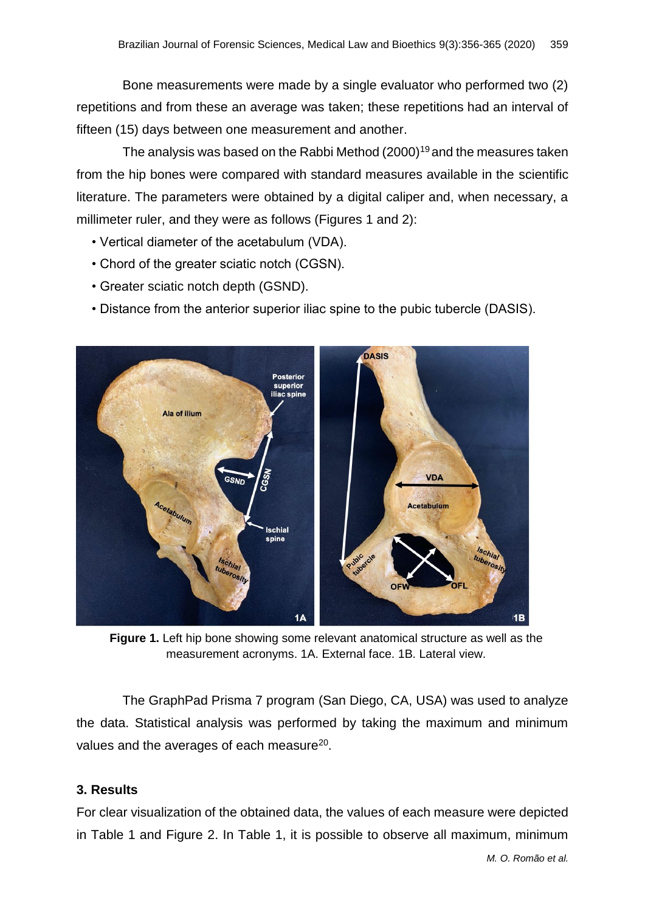Bone measurements were made by a single evaluator who performed two (2) repetitions and from these an average was taken; these repetitions had an interval of fifteen (15) days between one measurement and another.

The analysis was based on the Rabbi Method  $(2000)^{19}$  and the measures taken from the hip bones were compared with standard measures available in the scientific literature. The parameters were obtained by a digital caliper and, when necessary, a millimeter ruler, and they were as follows (Figures 1 and 2):

- Vertical diameter of the acetabulum (VDA).
- Chord of the greater sciatic notch (CGSN).
- Greater sciatic notch depth (GSND).
- Distance from the anterior superior iliac spine to the pubic tubercle (DASIS).



**Figure 1.** Left hip bone showing some relevant anatomical structure as well as the measurement acronyms. 1A. External face. 1B. Lateral view.

The GraphPad Prisma 7 program (San Diego, CA, USA) was used to analyze the data. Statistical analysis was performed by taking the maximum and minimum values and the averages of each measure<sup>20</sup>.

#### **3. Results**

For clear visualization of the obtained data, the values of each measure were depicted in Table 1 and Figure 2. In Table 1, it is possible to observe all maximum, minimum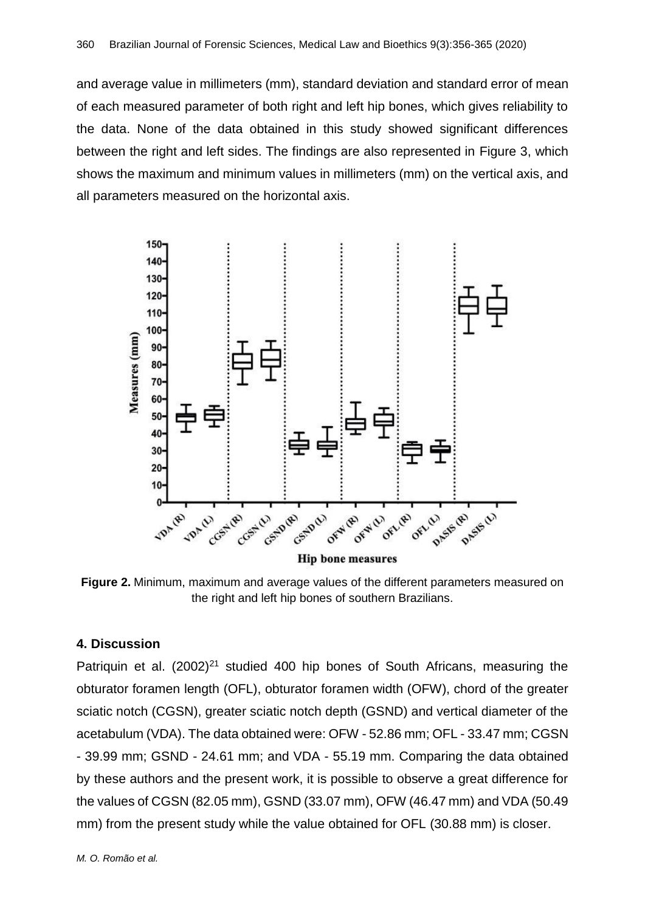and average value in millimeters (mm), standard deviation and standard error of mean of each measured parameter of both right and left hip bones, which gives reliability to the data. None of the data obtained in this study showed significant differences between the right and left sides. The findings are also represented in Figure 3, which shows the maximum and minimum values in millimeters (mm) on the vertical axis, and all parameters measured on the horizontal axis.



**Figure 2.** Minimum, maximum and average values of the different parameters measured on the right and left hip bones of southern Brazilians.

#### **4. Discussion**

Patriquin et al.  $(2002)^{21}$  studied 400 hip bones of South Africans, measuring the obturator foramen length (OFL), obturator foramen width (OFW), chord of the greater sciatic notch (CGSN), greater sciatic notch depth (GSND) and vertical diameter of the acetabulum (VDA). The data obtained were: OFW - 52.86 mm; OFL - 33.47 mm; CGSN - 39.99 mm; GSND - 24.61 mm; and VDA - 55.19 mm. Comparing the data obtained by these authors and the present work, it is possible to observe a great difference for the values of CGSN (82.05 mm), GSND (33.07 mm), OFW (46.47 mm) and VDA (50.49 mm) from the present study while the value obtained for OFL (30.88 mm) is closer.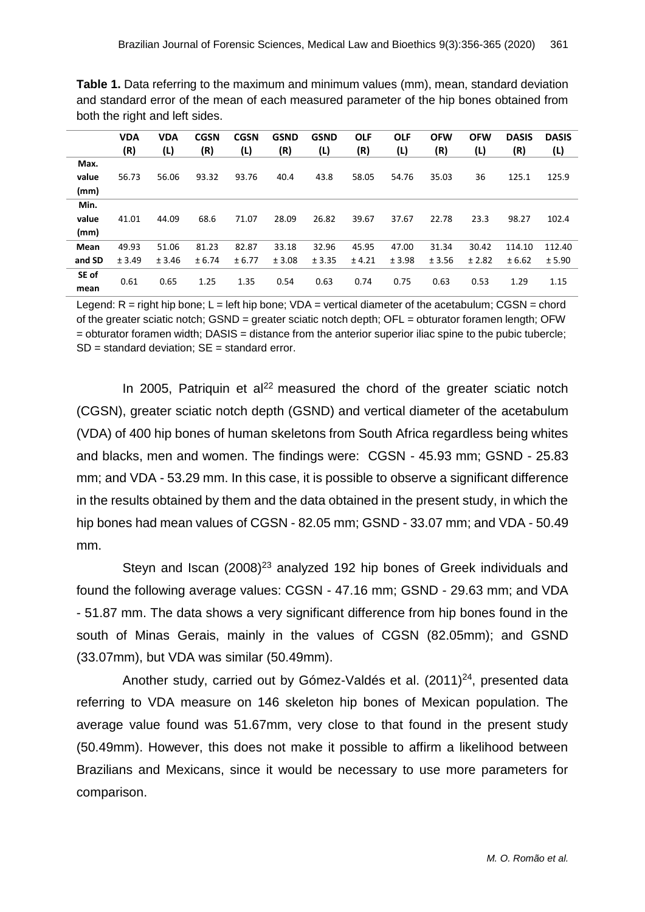| both the right and left sides. |                   |            |                    |                    |                    |                    |                   |                   |                   |                   |                     |                     |
|--------------------------------|-------------------|------------|--------------------|--------------------|--------------------|--------------------|-------------------|-------------------|-------------------|-------------------|---------------------|---------------------|
|                                | <b>VDA</b><br>(R) | VDA<br>(L) | <b>CGSN</b><br>(R) | <b>CGSN</b><br>(L) | <b>GSND</b><br>(R) | <b>GSND</b><br>(L) | <b>OLF</b><br>(R) | <b>OLF</b><br>(L) | <b>OFW</b><br>(R) | <b>OFW</b><br>(L) | <b>DASIS</b><br>(R) | <b>DASIS</b><br>(L) |
| Max.                           |                   |            |                    |                    |                    |                    |                   |                   |                   |                   |                     |                     |
| value                          | 56.73             | 56.06      | 93.32              | 93.76              | 40.4               | 43.8               | 58.05             | 54.76             | 35.03             | 36                | 125.1               | 125.9               |
| (mm)                           |                   |            |                    |                    |                    |                    |                   |                   |                   |                   |                     |                     |
| Min.                           |                   |            |                    |                    |                    |                    |                   |                   |                   |                   |                     |                     |
| value                          | 41.01             | 44.09      | 68.6               | 71.07              | 28.09              | 26.82              | 39.67             | 37.67             | 22.78             | 23.3              | 98.27               | 102.4               |
| (mm)                           |                   |            |                    |                    |                    |                    |                   |                   |                   |                   |                     |                     |
| Mean                           | 49.93             | 51.06      | 81.23              | 82.87              | 33.18              | 32.96              | 45.95             | 47.00             | 31.34             | 30.42             | 114.10              | 112.40              |
| and SD                         | ± 3.49            | ± 3.46     | ± 6.74             | ± 6.77             | ± 3.08             | ± 3.35             | ± 4.21            | ± 3.98            | ± 3.56            | ± 2.82            | ± 6.62              | ± 5.90              |

**Table 1.** Data referring to the maximum and minimum values (mm), mean, standard deviation and standard error of the mean of each measured parameter of the hip bones obtained from

Legend:  $R =$  right hip bone;  $L =$  left hip bone;  $VDA =$  vertical diameter of the acetabulum; CGSN = chord of the greater sciatic notch; GSND = greater sciatic notch depth; OFL = obturator foramen length; OFW = obturator foramen width; DASIS = distance from the anterior superior iliac spine to the pubic tubercle;  $SD = standard deviation$ ;  $SE = standard error$ .

0.61 0.65 1.25 1.35 0.54 0.63 0.74 0.75 0.63 0.53 1.29 1.15

**SE of mean**

In 2005, Patriquin et  $al^{22}$  measured the chord of the greater sciatic notch (CGSN), greater sciatic notch depth (GSND) and vertical diameter of the acetabulum (VDA) of 400 hip bones of human skeletons from South Africa regardless being whites and blacks, men and women. The findings were: CGSN - 45.93 mm; GSND - 25.83 mm; and VDA - 53.29 mm. In this case, it is possible to observe a significant difference in the results obtained by them and the data obtained in the present study, in which the hip bones had mean values of CGSN - 82.05 mm; GSND - 33.07 mm; and VDA - 50.49 mm.

Steyn and Iscan (2008)<sup>23</sup> analyzed 192 hip bones of Greek individuals and found the following average values: CGSN - 47.16 mm; GSND - 29.63 mm; and VDA - 51.87 mm. The data shows a very significant difference from hip bones found in the south of Minas Gerais, mainly in the values of CGSN (82.05mm); and GSND (33.07mm), but VDA was similar (50.49mm).

Another study, carried out by Gómez-Valdés et al. (2011)<sup>24</sup>, presented data referring to VDA measure on 146 skeleton hip bones of Mexican population. The average value found was 51.67mm, very close to that found in the present study (50.49mm). However, this does not make it possible to affirm a likelihood between Brazilians and Mexicans, since it would be necessary to use more parameters for comparison.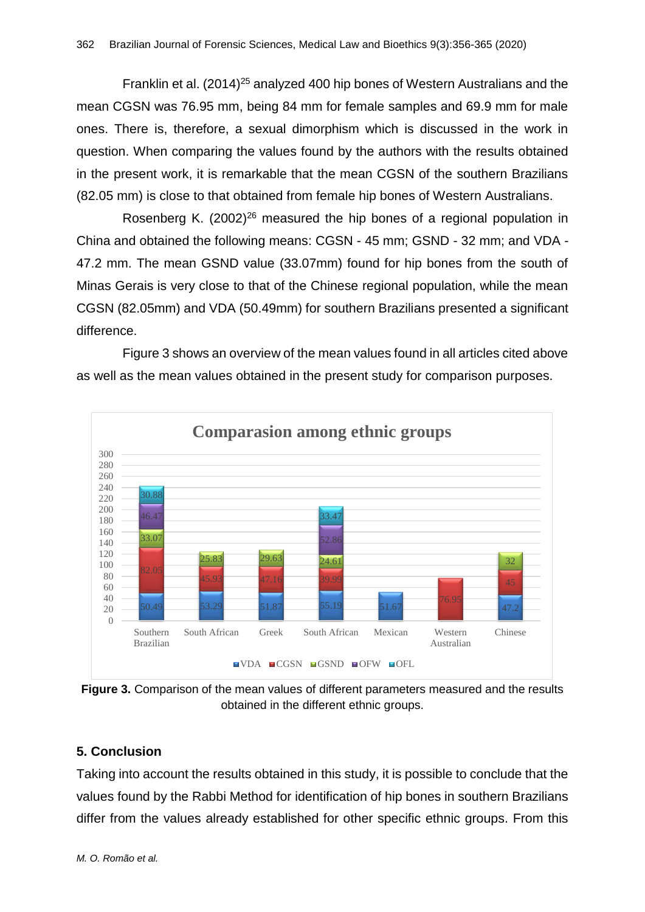Franklin et al. (2014)<sup>25</sup> analyzed 400 hip bones of Western Australians and the mean CGSN was 76.95 mm, being 84 mm for female samples and 69.9 mm for male ones. There is, therefore, a sexual dimorphism which is discussed in the work in question. When comparing the values found by the authors with the results obtained in the present work, it is remarkable that the mean CGSN of the southern Brazilians (82.05 mm) is close to that obtained from female hip bones of Western Australians.

Rosenberg K.  $(2002)^{26}$  measured the hip bones of a regional population in China and obtained the following means: CGSN - 45 mm; GSND - 32 mm; and VDA - 47.2 mm. The mean GSND value (33.07mm) found for hip bones from the south of Minas Gerais is very close to that of the Chinese regional population, while the mean CGSN (82.05mm) and VDA (50.49mm) for southern Brazilians presented a significant difference.

Figure 3 shows an overview of the mean values found in all articles cited above as well as the mean values obtained in the present study for comparison purposes.



**Figure 3.** Comparison of the mean values of different parameters measured and the results obtained in the different ethnic groups.

### **5. Conclusion**

Taking into account the results obtained in this study, it is possible to conclude that the values found by the Rabbi Method for identification of hip bones in southern Brazilians differ from the values already established for other specific ethnic groups. From this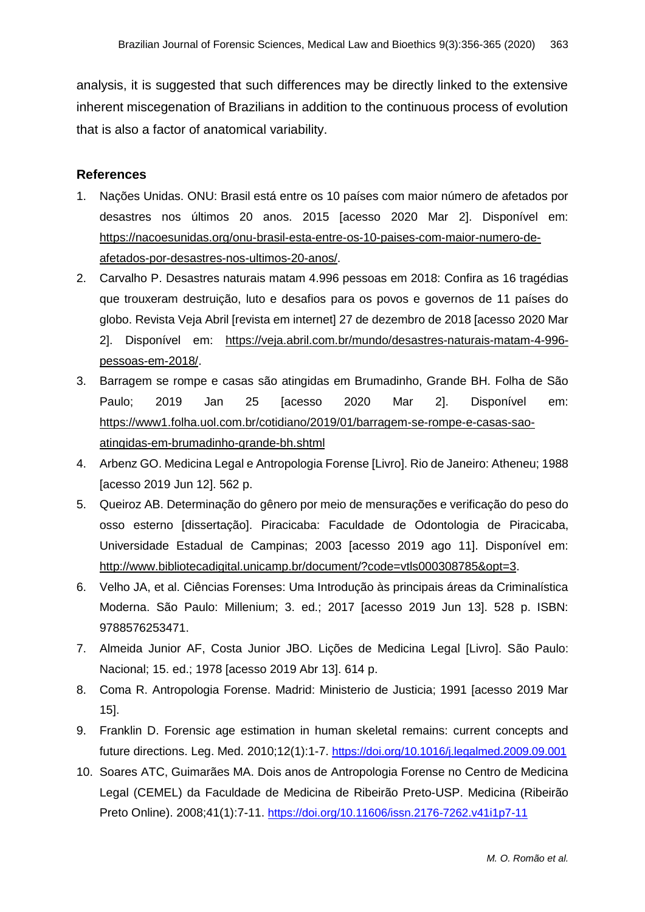analysis, it is suggested that such differences may be directly linked to the extensive inherent miscegenation of Brazilians in addition to the continuous process of evolution that is also a factor of anatomical variability.

#### **References**

- 1. Nações Unidas. ONU: Brasil está entre os 10 países com maior número de afetados por desastres nos últimos 20 anos. 2015 [acesso 2020 Mar 2]. Disponível em: [https://nacoesunidas.org/onu-brasil-esta-entre-os-10-paises-com-maior-numero-de](https://nacoesunidas.org/onu-brasil-esta-entre-os-10-paises-com-maior-numero-de-afetados-por-desastres-nos-ultimos-20-anos/)[afetados-por-desastres-nos-ultimos-20-anos/.](https://nacoesunidas.org/onu-brasil-esta-entre-os-10-paises-com-maior-numero-de-afetados-por-desastres-nos-ultimos-20-anos/)
- 2. Carvalho P. Desastres naturais matam 4.996 pessoas em 2018: Confira as 16 tragédias que trouxeram destruição, luto e desafios para os povos e governos de 11 países do globo. Revista Veja Abril [revista em internet] 27 de dezembro de 2018 [acesso 2020 Mar 2]. Disponível em: [https://veja.abril.com.br/mundo/desastres-naturais-matam-4-996](https://veja.abril.com.br/mundo/desastres-naturais-matam-4-996-pessoas-em-2018/) [pessoas-em-2018/.](https://veja.abril.com.br/mundo/desastres-naturais-matam-4-996-pessoas-em-2018/)
- 3. Barragem se rompe e casas são atingidas em Brumadinho, Grande BH. Folha de São Paulo; 2019 Jan 25 [acesso 2020 Mar 2]. Disponível em: [https://www1.folha.uol.com.br/cotidiano/2019/01/barragem-se-rompe-e-casas-sao](https://www1.folha.uol.com.br/cotidiano/2019/01/barragem-se-rompe-e-casas-sao-atingidas-em-brumadinho-grande-bh.shtml)[atingidas-em-brumadinho-grande-bh.shtml](https://www1.folha.uol.com.br/cotidiano/2019/01/barragem-se-rompe-e-casas-sao-atingidas-em-brumadinho-grande-bh.shtml)
- 4. Arbenz GO. Medicina Legal e Antropologia Forense [Livro]. Rio de Janeiro: Atheneu; 1988 [acesso 2019 Jun 12]. 562 p.
- 5. Queiroz AB. Determinação do gênero por meio de mensurações e verificação do peso do osso esterno [dissertação]. Piracicaba: Faculdade de Odontologia de Piracicaba, Universidade Estadual de Campinas; 2003 [acesso 2019 ago 11]. Disponível em: [http://www.bibliotecadigital.unicamp.br/document/?code=vtls000308785&opt=3.](http://www.bibliotecadigital.unicamp.br/document/?code=vtls000308785&opt=3)
- 6. Velho JA, et al. Ciências Forenses: Uma Introdução às principais áreas da Criminalística Moderna. São Paulo: Millenium; 3. ed.; 2017 [acesso 2019 Jun 13]. 528 p. ISBN: 9788576253471.
- 7. Almeida Junior AF, Costa Junior JBO. Lições de Medicina Legal [Livro]. São Paulo: Nacional; 15. ed.; 1978 [acesso 2019 Abr 13]. 614 p.
- 8. Coma R. Antropologia Forense. Madrid: Ministerio de Justicia; 1991 [acesso 2019 Mar 15].
- 9. Franklin D. Forensic age estimation in human skeletal remains: current concepts and future directions. Leg. Med. 2010;12(1):1-7. <https://doi.org/10.1016/j.legalmed.2009.09.001>
- 10. Soares ATC, Guimarães MA. Dois anos de Antropologia Forense no Centro de Medicina Legal (CEMEL) da Faculdade de Medicina de Ribeirão Preto-USP. Medicina (Ribeirão Preto Online). 2008;41(1):7-11. <https://doi.org/10.11606/issn.2176-7262.v41i1p7-11>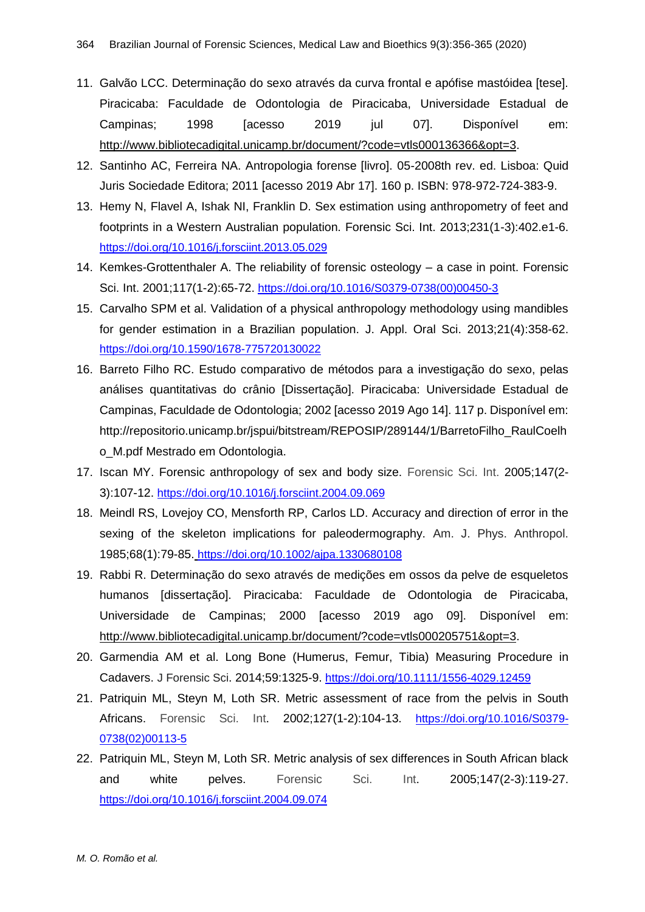- 11. Galvão LCC. Determinação do sexo através da curva frontal e apófise mastóidea [tese]. Piracicaba: Faculdade de Odontologia de Piracicaba, Universidade Estadual de Campinas; 1998 [acesso 2019 jul 07]. Disponível em: [http://www.bibliotecadigital.unicamp.br/document/?code=vtls000136366&opt=3.](http://www.bibliotecadigital.unicamp.br/document/?code=vtls000136366&opt=3)
- 12. Santinho AC, Ferreira NA. Antropologia forense [livro]. 05-2008th rev. ed. Lisboa: Quid Juris Sociedade Editora; 2011 [acesso 2019 Abr 17]. 160 p. ISBN: 978-972-724-383-9.
- 13. Hemy N, Flavel A, Ishak NI, Franklin D. Sex estimation using anthropometry of feet and footprints in a Western Australian population. Forensic Sci. Int. 2013;231(1-3):402.e1-6. <https://doi.org/10.1016/j.forsciint.2013.05.029>
- 14. Kemkes-Grottenthaler A. The reliability of forensic osteology a case in point. Forensic Sci. Int. 2001;117(1-2):65-72. [https://doi.org/10.1016/S0379-0738\(00\)00450-3](https://doi.org/10.1016/S0379-0738(00)00450-3)
- 15. Carvalho SPM et al. Validation of a physical anthropology methodology using mandibles for gender estimation in a Brazilian population. J. Appl. Oral Sci. 2013;21(4):358-62. <https://doi.org/10.1590/1678-775720130022>
- 16. Barreto Filho RC. Estudo comparativo de métodos para a investigação do sexo, pelas análises quantitativas do crânio [Dissertação]. Piracicaba: Universidade Estadual de Campinas, Faculdade de Odontologia; 2002 [acesso 2019 Ago 14]. 117 p. Disponível em: http://repositorio.unicamp.br/jspui/bitstream/REPOSIP/289144/1/BarretoFilho\_RaulCoelh o\_M.pdf Mestrado em Odontologia.
- 17. Iscan MY. Forensic anthropology of sex and body size. Forensic Sci. Int. 2005;147(2- 3):107-12. <https://doi.org/10.1016/j.forsciint.2004.09.069>
- 18. Meindl RS, Lovejoy CO, Mensforth RP, Carlos LD. Accuracy and direction of error in the sexing of the skeleton implications for paleodermography. Am. J. Phys. Anthropol. 1985;68(1):79-85. <https://doi.org/10.1002/ajpa.1330680108>
- 19. Rabbi R. Determinação do sexo através de medições em ossos da pelve de esqueletos humanos [dissertação]. Piracicaba: Faculdade de Odontologia de Piracicaba, Universidade de Campinas; 2000 [acesso 2019 ago 09]. Disponível em: [http://www.bibliotecadigital.unicamp.br/document/?code=vtls000205751&opt=3.](http://www.bibliotecadigital.unicamp.br/document/?code=vtls000205751&opt=3)
- 20. Garmendia AM et al. Long Bone (Humerus, Femur, Tibia) Measuring Procedure in Cadavers. J Forensic Sci. 2014;59:1325-9. <https://doi.org/10.1111/1556-4029.12459>
- 21. Patriquin ML, Steyn M, Loth SR. Metric assessment of race from the pelvis in South Africans. Forensic Sci. Int. 2002;127(1-2):104-13. [https://doi.org/10.1016/S0379-](https://doi.org/10.1016/S0379-0738(02)00113-5) [0738\(02\)00113-5](https://doi.org/10.1016/S0379-0738(02)00113-5)
- 22. Patriquin ML, Steyn M, Loth SR. Metric analysis of sex differences in South African black and white pelves. Forensic Sci. Int. 2005;147(2-3):119-27. <https://doi.org/10.1016/j.forsciint.2004.09.074>